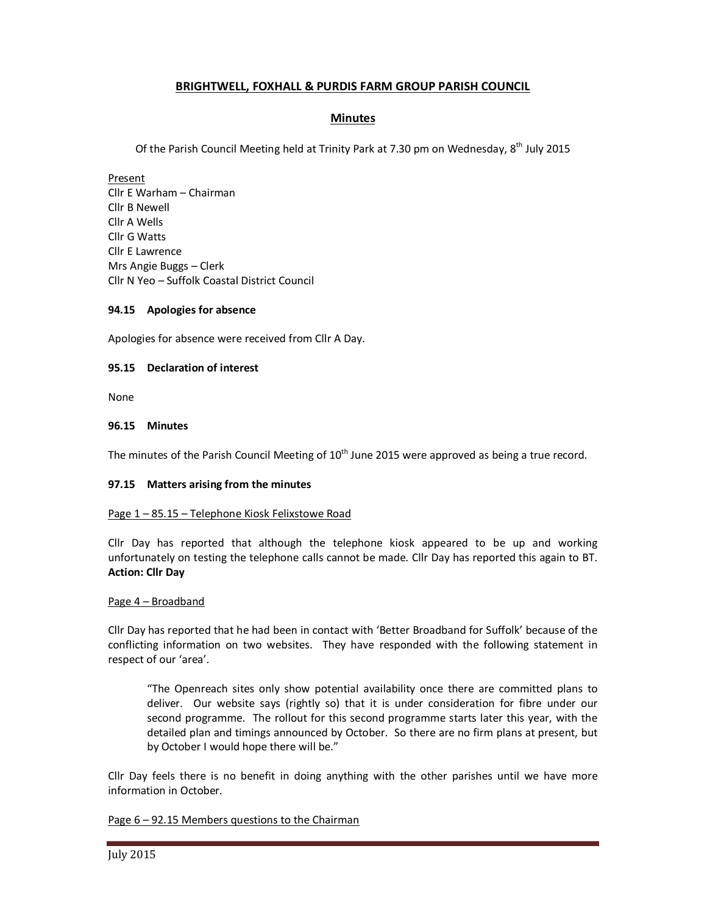# **BRIGHTWELL, FOXHALL & PURDIS FARM GROUP PARISH COUNCIL**

# **Minutes**

Of the Parish Council Meeting held at Trinity Park at 7.30 pm on Wednesday, 8<sup>th</sup> July 2015

Present Cllr E Warham – Chairman Cllr B Newell Cllr A Wells Cllr G Watts Cllr E Lawrence Mrs Angie Buggs – Clerk Cllr N Yeo – Suffolk Coastal District Council

## **94.15 Apologies for absence**

Apologies for absence were received from Cllr A Day.

## **95.15 Declaration of interest**

None

# **96.15 Minutes**

The minutes of the Parish Council Meeting of 10<sup>th</sup> June 2015 were approved as being a true record.

#### **97.15 Matters arising from the minutes**

#### Page 1 – 85.15 – Telephone Kiosk Felixstowe Road

Cllr Day has reported that although the telephone kiosk appeared to be up and working unfortunately on testing the telephone calls cannot be made. Cllr Day has reported this again to BT. **Action: Cllr Day**

#### Page 4 – Broadband

Cllr Day has reported that he had been in contact with 'Better Broadband for Suffolk' because of the conflicting information on two websites. They have responded with the following statement in respect of our 'area'.

"The Openreach sites only show potential availability once there are committed plans to deliver. Our website says (rightly so) that it is under consideration for fibre under our second programme. The rollout for this second programme starts later this year, with the detailed plan and timings announced by October. So there are no firm plans at present, but by October I would hope there will be."

Cllr Day feels there is no benefit in doing anything with the other parishes until we have more information in October.

#### Page 6 – 92.15 Members questions to the Chairman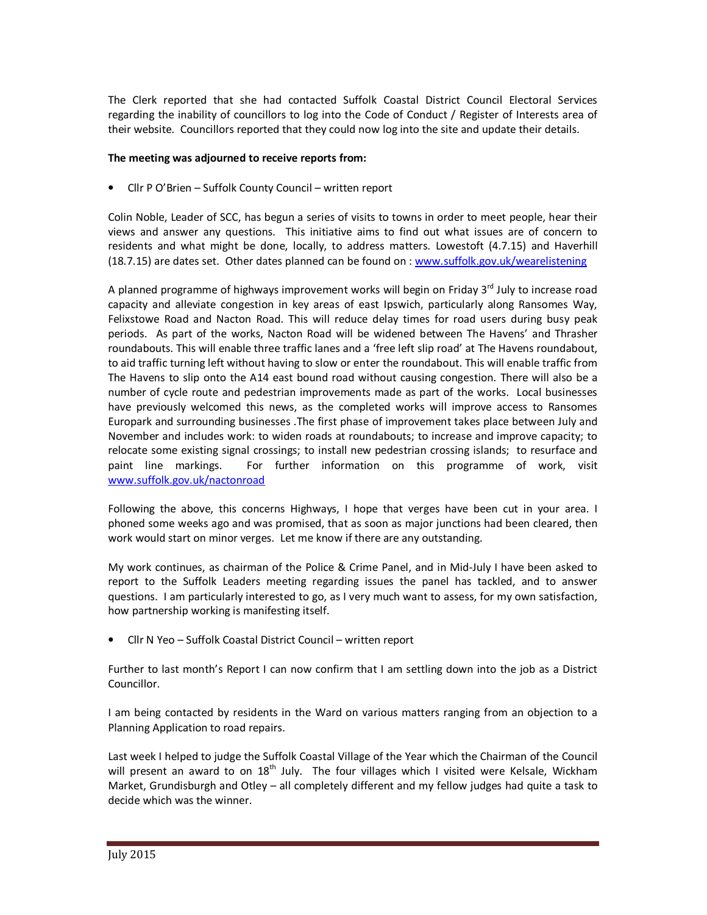The Clerk reported that she had contacted Suffolk Coastal District Council Electoral Services regarding the inability of councillors to log into the Code of Conduct / Register of Interests area of their website. Councillors reported that they could now log into the site and update their details.

# **The meeting was adjourned to receive reports from:**

• Cllr P O'Brien – Suffolk County Council – written report

Colin Noble, Leader of SCC, has begun a series of visits to towns in order to meet people, hear their views and answer any questions. This initiative aims to find out what issues are of concern to residents and what might be done, locally, to address matters. Lowestoft (4.7.15) and Haverhill (18.7.15) are dates set. Other dates planned can be found on : www.suffolk.gov.uk/wearelistening

A planned programme of highways improvement works will begin on Friday  $3<sup>rd</sup>$  July to increase road capacity and alleviate congestion in key areas of east Ipswich, particularly along Ransomes Way, Felixstowe Road and Nacton Road. This will reduce delay times for road users during busy peak periods. As part of the works, Nacton Road will be widened between The Havens' and Thrasher roundabouts. This will enable three traffic lanes and a 'free left slip road' at The Havens roundabout, to aid traffic turning left without having to slow or enter the roundabout. This will enable traffic from The Havens to slip onto the A14 east bound road without causing congestion. There will also be a number of cycle route and pedestrian improvements made as part of the works. Local businesses have previously welcomed this news, as the completed works will improve access to Ransomes Europark and surrounding businesses .The first phase of improvement takes place between July and November and includes work: to widen roads at roundabouts; to increase and improve capacity; to relocate some existing signal crossings; to install new pedestrian crossing islands; to resurface and paint line markings. For further information on this programme of work, visit www.suffolk.gov.uk/nactonroad

Following the above, this concerns Highways, I hope that verges have been cut in your area. I phoned some weeks ago and was promised, that as soon as major junctions had been cleared, then work would start on minor verges. Let me know if there are any outstanding.

My work continues, as chairman of the Police & Crime Panel, and in Mid-July I have been asked to report to the Suffolk Leaders meeting regarding issues the panel has tackled, and to answer questions. I am particularly interested to go, as I very much want to assess, for my own satisfaction, how partnership working is manifesting itself.

• Cllr N Yeo – Suffolk Coastal District Council – written report

Further to last month's Report I can now confirm that I am settling down into the job as a District Councillor.

I am being contacted by residents in the Ward on various matters ranging from an objection to a Planning Application to road repairs.

Last week I helped to judge the Suffolk Coastal Village of the Year which the Chairman of the Council will present an award to on  $18<sup>th</sup>$  July. The four villages which I visited were Kelsale, Wickham Market, Grundisburgh and Otley – all completely different and my fellow judges had quite a task to decide which was the winner.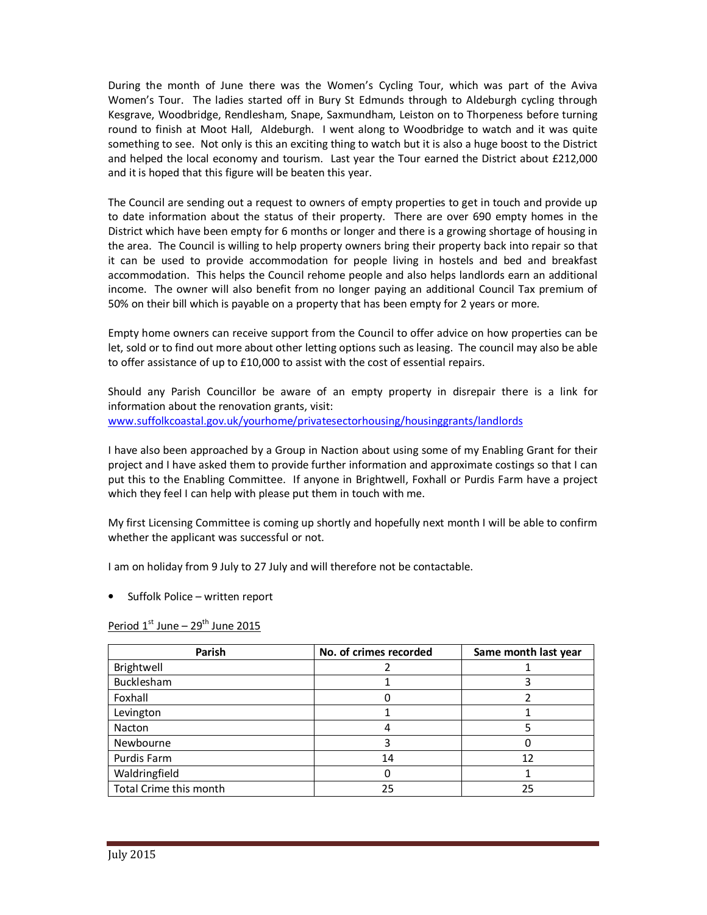During the month of June there was the Women's Cycling Tour, which was part of the Aviva Women's Tour. The ladies started off in Bury St Edmunds through to Aldeburgh cycling through Kesgrave, Woodbridge, Rendlesham, Snape, Saxmundham, Leiston on to Thorpeness before turning round to finish at Moot Hall, Aldeburgh. I went along to Woodbridge to watch and it was quite something to see. Not only is this an exciting thing to watch but it is also a huge boost to the District and helped the local economy and tourism. Last year the Tour earned the District about £212,000 and it is hoped that this figure will be beaten this year.

The Council are sending out a request to owners of empty properties to get in touch and provide up to date information about the status of their property. There are over 690 empty homes in the District which have been empty for 6 months or longer and there is a growing shortage of housing in the area. The Council is willing to help property owners bring their property back into repair so that it can be used to provide accommodation for people living in hostels and bed and breakfast accommodation. This helps the Council rehome people and also helps landlords earn an additional income. The owner will also benefit from no longer paying an additional Council Tax premium of 50% on their bill which is payable on a property that has been empty for 2 years or more.

Empty home owners can receive support from the Council to offer advice on how properties can be let, sold or to find out more about other letting options such as leasing. The council may also be able to offer assistance of up to £10,000 to assist with the cost of essential repairs.

Should any Parish Councillor be aware of an empty property in disrepair there is a link for information about the renovation grants, visit: www.suffolkcoastal.gov.uk/yourhome/privatesectorhousing/housinggrants/landlords

I have also been approached by a Group in Naction about using some of my Enabling Grant for their project and I have asked them to provide further information and approximate costings so that I can put this to the Enabling Committee. If anyone in Brightwell, Foxhall or Purdis Farm have a project which they feel I can help with please put them in touch with me.

My first Licensing Committee is coming up shortly and hopefully next month I will be able to confirm whether the applicant was successful or not.

I am on holiday from 9 July to 27 July and will therefore not be contactable.

• Suffolk Police – written report

Period  $1^{st}$  June –  $29^{th}$  June 2015

| Parish                 | No. of crimes recorded | Same month last year |
|------------------------|------------------------|----------------------|
| Brightwell             |                        |                      |
| Bucklesham             |                        |                      |
| Foxhall                |                        |                      |
| Levington              |                        |                      |
| Nacton                 |                        |                      |
| Newbourne              |                        |                      |
| Purdis Farm            | 14                     | 12                   |
| Waldringfield          |                        |                      |
| Total Crime this month | 25                     | 25                   |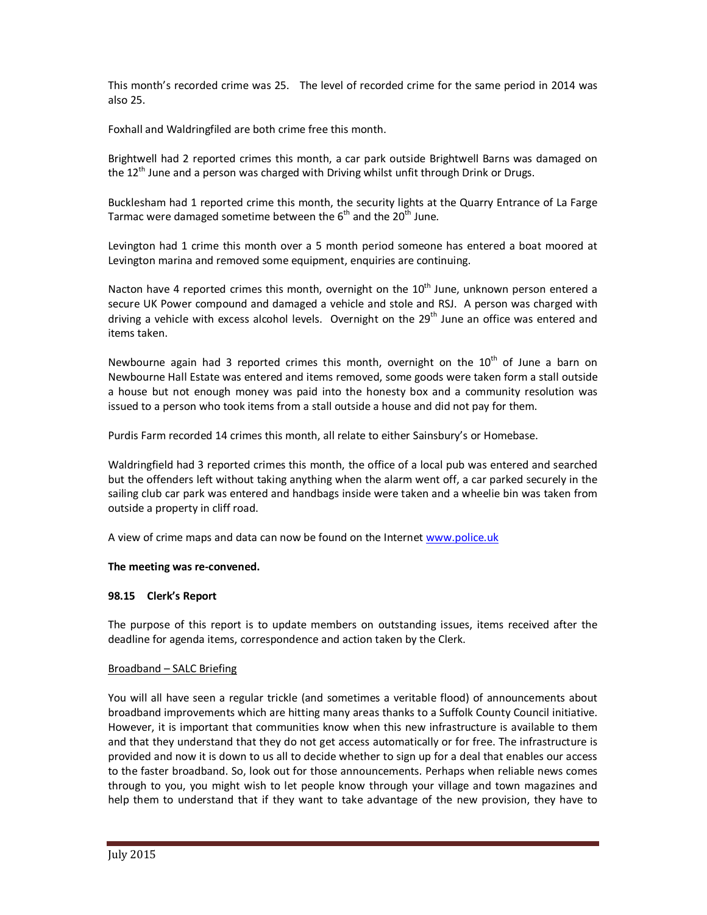This month's recorded crime was 25. The level of recorded crime for the same period in 2014 was also 25.

Foxhall and Waldringfiled are both crime free this month.

Brightwell had 2 reported crimes this month, a car park outside Brightwell Barns was damaged on the  $12<sup>th</sup>$  June and a person was charged with Driving whilst unfit through Drink or Drugs.

Bucklesham had 1 reported crime this month, the security lights at the Quarry Entrance of La Farge Tarmac were damaged sometime between the  $6<sup>th</sup>$  and the 20<sup>th</sup> June.

Levington had 1 crime this month over a 5 month period someone has entered a boat moored at Levington marina and removed some equipment, enquiries are continuing.

Nacton have 4 reported crimes this month, overnight on the  $10<sup>th</sup>$  June, unknown person entered a secure UK Power compound and damaged a vehicle and stole and RSJ. A person was charged with driving a vehicle with excess alcohol levels. Overnight on the 29<sup>th</sup> June an office was entered and items taken.

Newbourne again had 3 reported crimes this month, overnight on the  $10<sup>th</sup>$  of June a barn on Newbourne Hall Estate was entered and items removed, some goods were taken form a stall outside a house but not enough money was paid into the honesty box and a community resolution was issued to a person who took items from a stall outside a house and did not pay for them.

Purdis Farm recorded 14 crimes this month, all relate to either Sainsbury's or Homebase.

Waldringfield had 3 reported crimes this month, the office of a local pub was entered and searched but the offenders left without taking anything when the alarm went off, a car parked securely in the sailing club car park was entered and handbags inside were taken and a wheelie bin was taken from outside a property in cliff road.

A view of crime maps and data can now be found on the Internet www.police.uk

#### **The meeting was re-convened.**

#### **98.15 Clerk's Report**

The purpose of this report is to update members on outstanding issues, items received after the deadline for agenda items, correspondence and action taken by the Clerk.

#### Broadband – SALC Briefing

You will all have seen a regular trickle (and sometimes a veritable flood) of announcements about broadband improvements which are hitting many areas thanks to a Suffolk County Council initiative. However, it is important that communities know when this new infrastructure is available to them and that they understand that they do not get access automatically or for free. The infrastructure is provided and now it is down to us all to decide whether to sign up for a deal that enables our access to the faster broadband. So, look out for those announcements. Perhaps when reliable news comes through to you, you might wish to let people know through your village and town magazines and help them to understand that if they want to take advantage of the new provision, they have to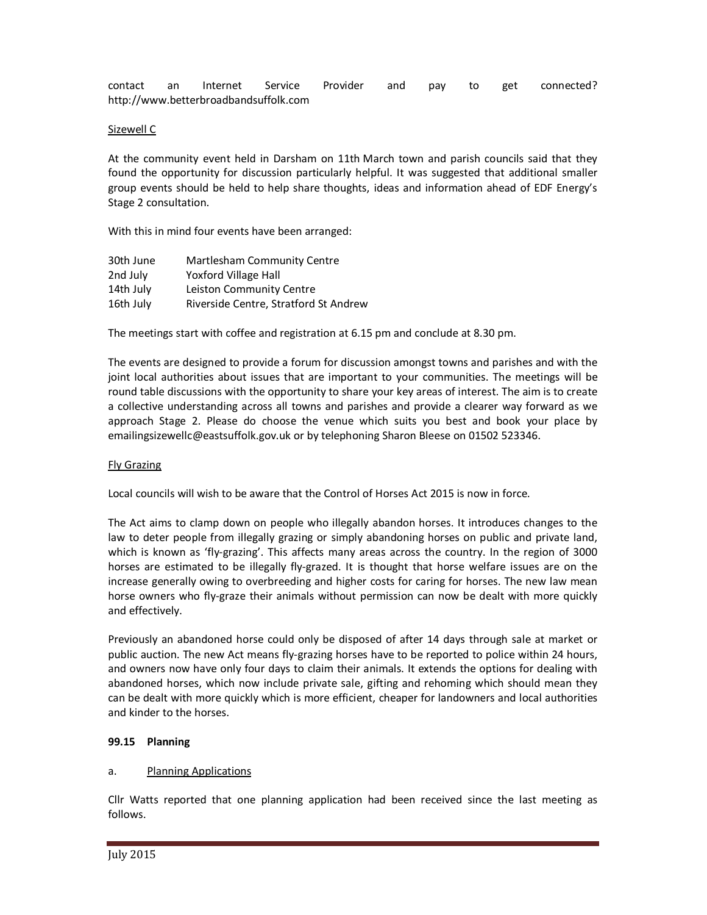contact an Internet Service Provider and pay to get connected? http://www.betterbroadbandsuffolk.com

#### Sizewell C

At the community event held in Darsham on 11th March town and parish councils said that they found the opportunity for discussion particularly helpful. It was suggested that additional smaller group events should be held to help share thoughts, ideas and information ahead of EDF Energy's Stage 2 consultation.

With this in mind four events have been arranged:

| 30th June | <b>Martlesham Community Centre</b>    |
|-----------|---------------------------------------|
| 2nd July  | Yoxford Village Hall                  |
| 14th July | Leiston Community Centre              |
| 16th July | Riverside Centre, Stratford St Andrew |

The meetings start with coffee and registration at 6.15 pm and conclude at 8.30 pm.

The events are designed to provide a forum for discussion amongst towns and parishes and with the joint local authorities about issues that are important to your communities. The meetings will be round table discussions with the opportunity to share your key areas of interest. The aim is to create a collective understanding across all towns and parishes and provide a clearer way forward as we approach Stage 2. Please do choose the venue which suits you best and book your place by emailingsizewellc@eastsuffolk.gov.uk or by telephoning Sharon Bleese on 01502 523346.

#### Fly Grazing

Local councils will wish to be aware that the Control of Horses Act 2015 is now in force.

The Act aims to clamp down on people who illegally abandon horses. It introduces changes to the law to deter people from illegally grazing or simply abandoning horses on public and private land, which is known as 'fly-grazing'. This affects many areas across the country. In the region of 3000 horses are estimated to be illegally fly-grazed. It is thought that horse welfare issues are on the increase generally owing to overbreeding and higher costs for caring for horses. The new law mean horse owners who fly-graze their animals without permission can now be dealt with more quickly and effectively.

Previously an abandoned horse could only be disposed of after 14 days through sale at market or public auction. The new Act means fly-grazing horses have to be reported to police within 24 hours, and owners now have only four days to claim their animals. It extends the options for dealing with abandoned horses, which now include private sale, gifting and rehoming which should mean they can be dealt with more quickly which is more efficient, cheaper for landowners and local authorities and kinder to the horses.

#### **99.15 Planning**

#### a. Planning Applications

Cllr Watts reported that one planning application had been received since the last meeting as follows.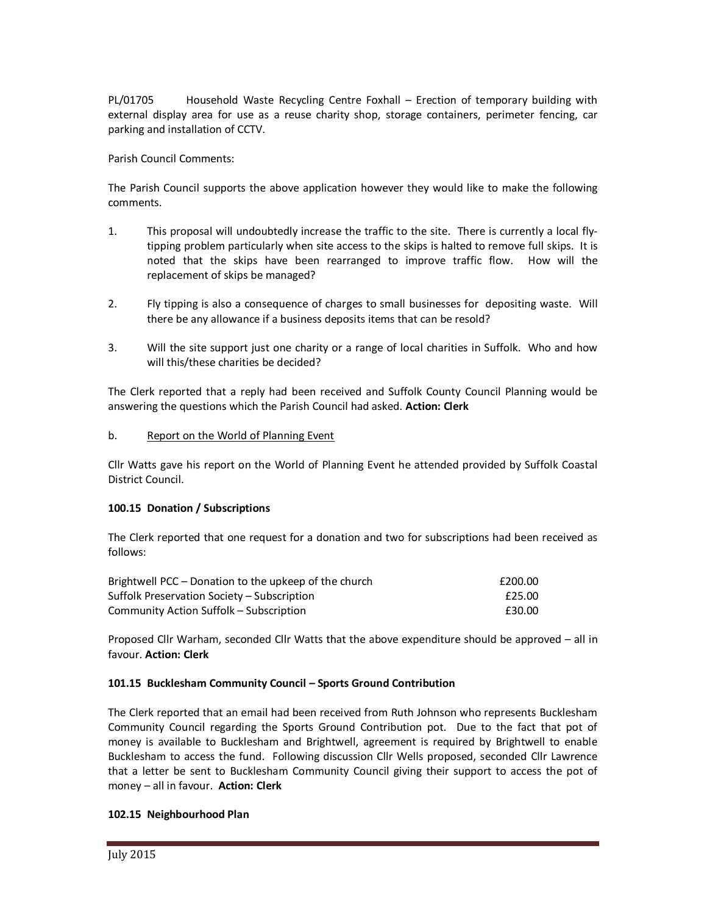PL/01705 Household Waste Recycling Centre Foxhall – Erection of temporary building with external display area for use as a reuse charity shop, storage containers, perimeter fencing, car parking and installation of CCTV.

Parish Council Comments:

The Parish Council supports the above application however they would like to make the following comments.

- 1. This proposal will undoubtedly increase the traffic to the site. There is currently a local flytipping problem particularly when site access to the skips is halted to remove full skips. It is noted that the skips have been rearranged to improve traffic flow. How will the replacement of skips be managed?
- 2. Fly tipping is also a consequence of charges to small businesses for depositing waste. Will there be any allowance if a business deposits items that can be resold?
- 3. Will the site support just one charity or a range of local charities in Suffolk. Who and how will this/these charities be decided?

The Clerk reported that a reply had been received and Suffolk County Council Planning would be answering the questions which the Parish Council had asked. **Action: Clerk** 

## b. Report on the World of Planning Event

Cllr Watts gave his report on the World of Planning Event he attended provided by Suffolk Coastal District Council.

# **100.15 Donation / Subscriptions**

The Clerk reported that one request for a donation and two for subscriptions had been received as follows:

| Brightwell PCC – Donation to the upkeep of the church | £200.00 |
|-------------------------------------------------------|---------|
| Suffolk Preservation Society – Subscription           | £25.00  |
| Community Action Suffolk – Subscription               | £30.00  |

Proposed Cllr Warham, seconded Cllr Watts that the above expenditure should be approved – all in favour. **Action: Clerk** 

# **101.15 Bucklesham Community Council – Sports Ground Contribution**

The Clerk reported that an email had been received from Ruth Johnson who represents Bucklesham Community Council regarding the Sports Ground Contribution pot. Due to the fact that pot of money is available to Bucklesham and Brightwell, agreement is required by Brightwell to enable Bucklesham to access the fund. Following discussion Cllr Wells proposed, seconded Cllr Lawrence that a letter be sent to Bucklesham Community Council giving their support to access the pot of money – all in favour. **Action: Clerk**

#### **102.15 Neighbourhood Plan**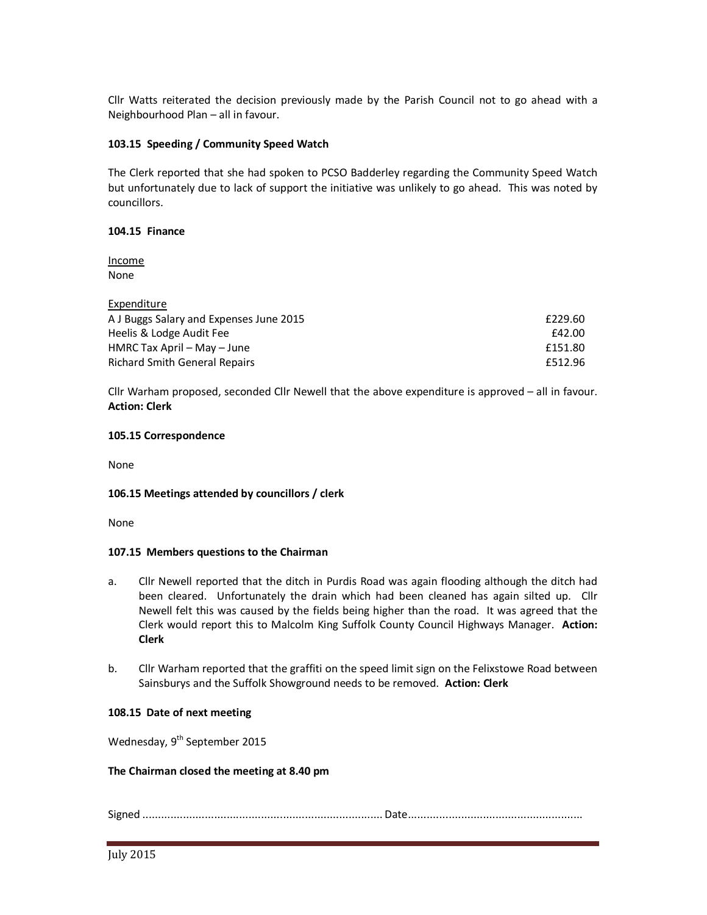Cllr Watts reiterated the decision previously made by the Parish Council not to go ahead with a Neighbourhood Plan – all in favour.

# **103.15 Speeding / Community Speed Watch**

The Clerk reported that she had spoken to PCSO Badderley regarding the Community Speed Watch but unfortunately due to lack of support the initiative was unlikely to go ahead. This was noted by councillors.

## **104.15 Finance**

Income None

| Expenditure                             |         |
|-----------------------------------------|---------|
| A J Buggs Salary and Expenses June 2015 | £229.60 |
| Heelis & Lodge Audit Fee                | £42.00  |
| HMRC Tax April $-$ May $-$ June         | £151.80 |
| <b>Richard Smith General Repairs</b>    | £512.96 |

Cllr Warham proposed, seconded Cllr Newell that the above expenditure is approved – all in favour. **Action: Clerk** 

## **105.15 Correspondence**

None

#### **106.15 Meetings attended by councillors / clerk**

None

#### **107.15 Members questions to the Chairman**

- a. Cllr Newell reported that the ditch in Purdis Road was again flooding although the ditch had been cleared. Unfortunately the drain which had been cleaned has again silted up. Cllr Newell felt this was caused by the fields being higher than the road. It was agreed that the Clerk would report this to Malcolm King Suffolk County Council Highways Manager. **Action: Clerk**
- b. Cllr Warham reported that the graffiti on the speed limit sign on the Felixstowe Road between Sainsburys and the Suffolk Showground needs to be removed. **Action: Clerk**

#### **108.15 Date of next meeting**

Wednesday, 9<sup>th</sup> September 2015

#### **The Chairman closed the meeting at 8.40 pm**

Signed ............................................................................. Date ........................................................